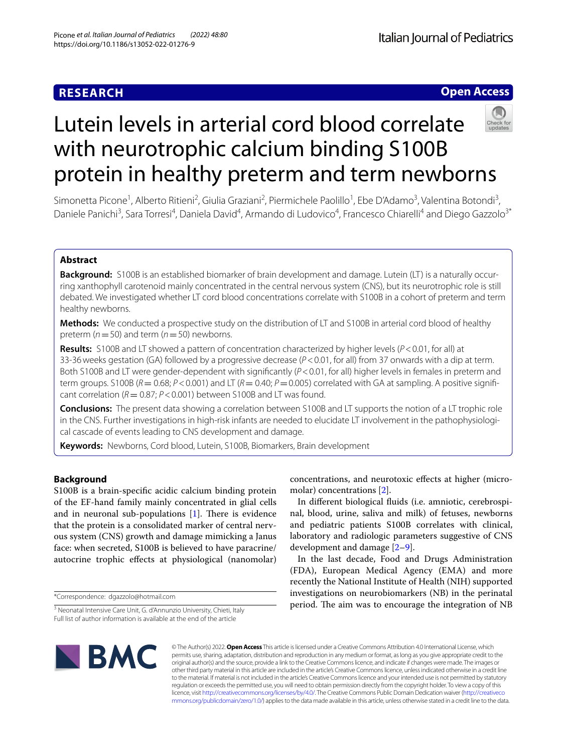# **RESEARCH**

# **Open Access**



# Lutein levels in arterial cord blood correlate with neurotrophic calcium binding S100B protein in healthy preterm and term newborns

Simonetta Picone<sup>1</sup>, Alberto Ritieni<sup>2</sup>, Giulia Graziani<sup>2</sup>, Piermichele Paolillo<sup>1</sup>, Ebe D'Adamo<sup>3</sup>, Valentina Botondi<sup>3</sup>, Daniele Panichi<sup>3</sup>, Sara Torresi<sup>4</sup>, Daniela David<sup>4</sup>, Armando di Ludovico<sup>4</sup>, Francesco Chiarelli<sup>4</sup> and Diego Gazzolo<sup>3\*</sup>

# **Abstract**

**Background:** S100B is an established biomarker of brain development and damage. Lutein (LT) is a naturally occurring xanthophyll carotenoid mainly concentrated in the central nervous system (CNS), but its neurotrophic role is still debated. We investigated whether LT cord blood concentrations correlate with S100B in a cohort of preterm and term healthy newborns.

**Methods:** We conducted a prospective study on the distribution of LT and S100B in arterial cord blood of healthy preterm (*n*=50) and term (*n*=50) newborns.

**Results:** S100B and LT showed a pattern of concentration characterized by higher levels (*P*<0.01, for all) at 33-36weeks gestation (GA) followed by a progressive decrease (*P*<0.01, for all) from 37 onwards with a dip at term. Both S100B and LT were gender-dependent with signifcantly (*P*<0.01, for all) higher levels in females in preterm and term groups. S100B ( $R = 0.68$ ;  $P < 0.001$ ) and LT ( $R = 0.40$ ;  $P = 0.005$ ) correlated with GA at sampling. A positive significant correlation ( $R = 0.87$ ;  $P < 0.001$ ) between S100B and LT was found.

**Conclusions:** The present data showing a correlation between S100B and LT supports the notion of a LT trophic role in the CNS. Further investigations in high-risk infants are needed to elucidate LT involvement in the pathophysiological cascade of events leading to CNS development and damage.

**Keywords:** Newborns, Cord blood, Lutein, S100B, Biomarkers, Brain development

# **Background**

S100B is a brain-specifc acidic calcium binding protein of the EF-hand family mainly concentrated in glial cells and in neuronal sub-populations  $[1]$  $[1]$ . There is evidence that the protein is a consolidated marker of central nervous system (CNS) growth and damage mimicking a Janus face: when secreted, S100B is believed to have paracrine/ autocrine trophic efects at physiological (nanomolar)

\*Correspondence: dgazzolo@hotmail.com

concentrations, and neurotoxic efects at higher (micromolar) concentrations [[2\]](#page-6-1).

In diferent biological fuids (i.e. amniotic, cerebrospinal, blood, urine, saliva and milk) of fetuses, newborns and pediatric patients S100B correlates with clinical, laboratory and radiologic parameters suggestive of CNS development and damage [[2–](#page-6-1)[9\]](#page-6-2).

In the last decade, Food and Drugs Administration (FDA), European Medical Agency (EMA) and more recently the National Institute of Health (NIH) supported investigations on neurobiomarkers (NB) in the perinatal period. The aim was to encourage the integration of NB



© The Author(s) 2022. **Open Access** This article is licensed under a Creative Commons Attribution 4.0 International License, which permits use, sharing, adaptation, distribution and reproduction in any medium or format, as long as you give appropriate credit to the original author(s) and the source, provide a link to the Creative Commons licence, and indicate if changes were made. The images or other third party material in this article are included in the article's Creative Commons licence, unless indicated otherwise in a credit line to the material. If material is not included in the article's Creative Commons licence and your intended use is not permitted by statutory regulation or exceeds the permitted use, you will need to obtain permission directly from the copyright holder. To view a copy of this licence, visit [http://creativecommons.org/licenses/by/4.0/.](http://creativecommons.org/licenses/by/4.0/) The Creative Commons Public Domain Dedication waiver ([http://creativeco](http://creativecommons.org/publicdomain/zero/1.0/) [mmons.org/publicdomain/zero/1.0/](http://creativecommons.org/publicdomain/zero/1.0/)) applies to the data made available in this article, unless otherwise stated in a credit line to the data.

<sup>&</sup>lt;sup>3</sup> Neonatal Intensive Care Unit, G. d'Annunzio University, Chieti, Italy Full list of author information is available at the end of the article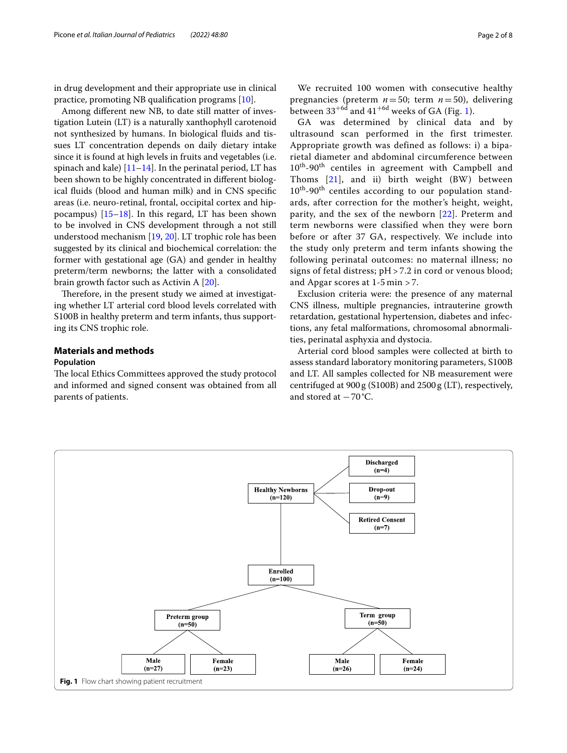in drug development and their appropriate use in clinical practice, promoting NB qualifcation programs [[10](#page-6-3)].

Among diferent new NB, to date still matter of investigation Lutein (LT) is a naturally xanthophyll carotenoid not synthesized by humans. In biological fluids and tissues LT concentration depends on daily dietary intake since it is found at high levels in fruits and vegetables (i.e. spinach and kale)  $[11–14]$  $[11–14]$ . In the perinatal period, LT has been shown to be highly concentrated in diferent biological fuids (blood and human milk) and in CNS specifc areas (i.e. neuro-retinal, frontal, occipital cortex and hippocampus) [\[15–](#page-6-6)[18\]](#page-6-7). In this regard, LT has been shown to be involved in CNS development through a not still understood mechanism [[19,](#page-6-8) [20](#page-6-9)]. LT trophic role has been suggested by its clinical and biochemical correlation: the former with gestational age (GA) and gender in healthy preterm/term newborns; the latter with a consolidated brain growth factor such as Activin A [\[20\]](#page-6-9).

Therefore, in the present study we aimed at investigating whether LT arterial cord blood levels correlated with S100B in healthy preterm and term infants, thus supporting its CNS trophic role.

# **Materials and methods**

# **Population**

The local Ethics Committees approved the study protocol and informed and signed consent was obtained from all parents of patients.

We recruited 100 women with consecutive healthy pregnancies (preterm *n*=50; term *n*=50), delivering between 33<sup>+6d</sup> and 4[1](#page-1-0)<sup>+6d</sup> weeks of GA (Fig. 1).

GA was determined by clinical data and by ultrasound scan performed in the first trimester. Appropriate growth was defined as follows: i) a biparietal diameter and abdominal circumference between  $10^{th}$ -90<sup>th</sup> centiles in agreement with Campbell and Thoms [\[21\]](#page-6-10), and ii) birth weight (BW) between 10<sup>th</sup>-90<sup>th</sup> centiles according to our population standards, after correction for the mother's height, weight, parity, and the sex of the newborn [[22\]](#page-6-11). Preterm and term newborns were classified when they were born before or after 37 GA, respectively. We include into the study only preterm and term infants showing the following perinatal outcomes: no maternal illness; no signs of fetal distress;  $pH > 7.2$  in cord or venous blood; and Apgar scores at 1-5 min > 7.

Exclusion criteria were: the presence of any maternal CNS illness, multiple pregnancies, intrauterine growth retardation, gestational hypertension, diabetes and infections, any fetal malformations, chromosomal abnormalities, perinatal asphyxia and dystocia.

Arterial cord blood samples were collected at birth to assess standard laboratory monitoring parameters, S100B and LT. All samples collected for NB measurement were centrifuged at 900g (S100B) and 2500g (LT), respectively, and stored at  $-70^{\circ}$ C.

<span id="page-1-0"></span>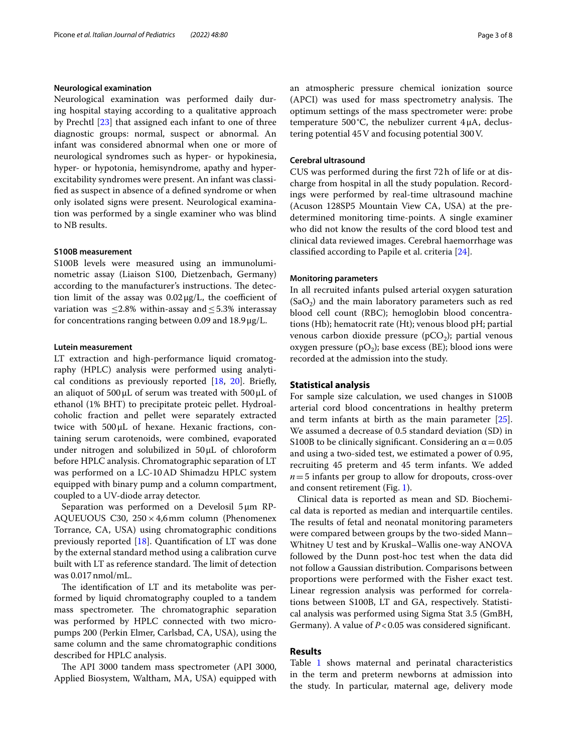# **Neurological examination**

Neurological examination was performed daily during hospital staying according to a qualitative approach by Prechtl [\[23](#page-6-12)] that assigned each infant to one of three diagnostic groups: normal, suspect or abnormal. An infant was considered abnormal when one or more of neurological syndromes such as hyper- or hypokinesia, hyper- or hypotonia, hemisyndrome, apathy and hyperexcitability syndromes were present. An infant was classifed as suspect in absence of a defned syndrome or when only isolated signs were present. Neurological examination was performed by a single examiner who was blind to NB results.

# **S100B measurement**

S100B levels were measured using an immunoluminometric assay (Liaison S100, Dietzenbach, Germany) according to the manufacturer's instructions. The detection limit of the assay was  $0.02 \mu g/L$ , the coefficient of variation was  $\leq 2.8\%$  within-assay and  $\leq 5.3\%$  interassay for concentrations ranging between 0.09 and  $18.9 \mu g/L$ .

# **Lutein measurement**

LT extraction and high-performance liquid cromatography (HPLC) analysis were performed using analytical conditions as previously reported  $[18, 20]$  $[18, 20]$  $[18, 20]$ . Briefly, an aliquot of  $500 \mu L$  of serum was treated with  $500 \mu L$  of ethanol (1% BHT) to precipitate proteic pellet. Hydroalcoholic fraction and pellet were separately extracted twice with 500μL of hexane. Hexanic fractions, containing serum carotenoids, were combined, evaporated under nitrogen and solubilized in 50μL of chloroform before HPLC analysis. Chromatographic separation of LT was performed on a LC-10AD Shimadzu HPLC system equipped with binary pump and a column compartment, coupled to a UV-diode array detector.

Separation was performed on a Develosil 5μm RP-AQUEUOUS C30, 250×4,6mm column (Phenomenex Torrance, CA, USA) using chromatographic conditions previously reported [\[18](#page-6-7)]. Quantifcation of LT was done by the external standard method using a calibration curve built with LT as reference standard. The limit of detection was 0.017nmol/mL.

The identification of LT and its metabolite was performed by liquid chromatography coupled to a tandem mass spectrometer. The chromatographic separation was performed by HPLC connected with two micropumps 200 (Perkin Elmer, Carlsbad, CA, USA), using the same column and the same chromatographic conditions described for HPLC analysis.

The API 3000 tandem mass spectrometer (API 3000, Applied Biosystem, Waltham, MA, USA) equipped with an atmospheric pressure chemical ionization source (APCI) was used for mass spectrometry analysis. The optimum settings of the mass spectrometer were: probe temperature 500 $^{\circ}$ C, the nebulizer current 4 $\mu$ A, declustering potential 45V and focusing potential 300V.

# **Cerebral ultrasound**

CUS was performed during the frst 72h of life or at discharge from hospital in all the study population. Recordings were performed by real-time ultrasound machine (Acuson 128SP5 Mountain View CA, USA) at the predetermined monitoring time-points. A single examiner who did not know the results of the cord blood test and clinical data reviewed images. Cerebral haemorrhage was classifed according to Papile et al. criteria [[24\]](#page-6-13).

### **Monitoring parameters**

In all recruited infants pulsed arterial oxygen saturation  $(SaO<sub>2</sub>)$  and the main laboratory parameters such as red blood cell count (RBC); hemoglobin blood concentrations (Hb); hematocrit rate (Ht); venous blood pH; partial venous carbon dioxide pressure  $(pCO<sub>2</sub>)$ ; partial venous oxygen pressure (pO<sub>2</sub>); base excess (BE); blood ions were recorded at the admission into the study.

## **Statistical analysis**

For sample size calculation, we used changes in S100B arterial cord blood concentrations in healthy preterm and term infants at birth as the main parameter [\[25](#page-6-14)]. We assumed a decrease of 0.5 standard deviation (SD) in S100B to be clinically significant. Considering an  $\alpha$  = 0.05 and using a two-sided test, we estimated a power of 0.95, recruiting 45 preterm and 45 term infants. We added  $n=5$  infants per group to allow for dropouts, cross-over and consent retirement (Fig. [1](#page-1-0)).

Clinical data is reported as mean and SD. Biochemical data is reported as median and interquartile centiles. The results of fetal and neonatal monitoring parameters were compared between groups by the two-sided Mann– Whitney U test and by Kruskal–Wallis one-way ANOVA followed by the Dunn post-hoc test when the data did not follow a Gaussian distribution. Comparisons between proportions were performed with the Fisher exact test. Linear regression analysis was performed for correlations between S100B, LT and GA, respectively. Statistical analysis was performed using Sigma Stat 3.5 (GmBH, Germany). A value of *P*<0.05 was considered signifcant.

# **Results**

Table [1](#page-3-0) shows maternal and perinatal characteristics in the term and preterm newborns at admission into the study. In particular, maternal age, delivery mode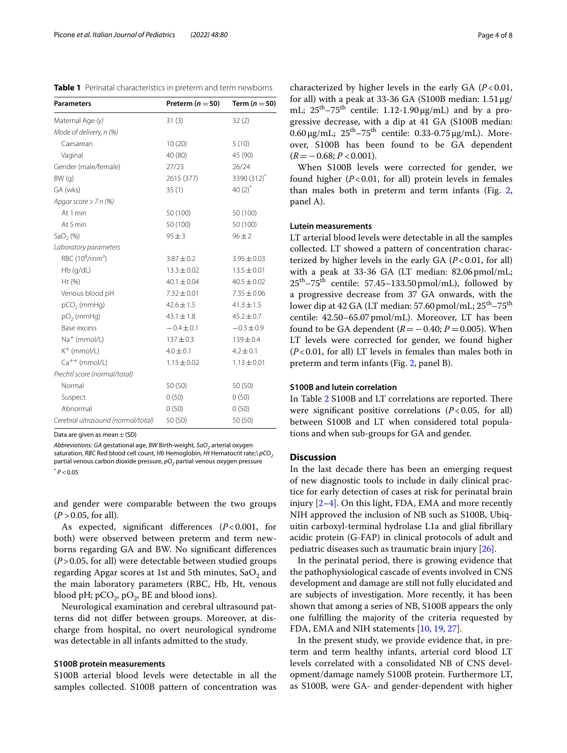<span id="page-3-0"></span>**Table 1** Perinatal characteristics in preterm and term newborns

| <b>Parameters</b>                       | Preterm ( $n = 50$ ) | Term $(n=50)$   |
|-----------------------------------------|----------------------|-----------------|
| Maternal Age (y)                        | 31(3)                | 32(2)           |
| Mode of delivery, n (%)                 |                      |                 |
| Caesarean                               | 10(20)               | 5(10)           |
| Vaginal                                 | 40 (80)              | 45 (90)         |
| Gender (male/female)                    | 27/23                | 26/24           |
| BW(q)                                   | 2615 (377)           | 3390 (312)*     |
| GA (wks)                                | 35(1)                | 40 $(2)^{*}$    |
| Apgar score $> 7$ n (%)                 |                      |                 |
| At 1 min                                | 50 (100)             | 50 (100)        |
| At 5 min                                | 50 (100)             | 50 (100)        |
| SaO <sub>2</sub> (%)                    | $95 + 3$             | $96 \pm 2$      |
| Laboratory parameters                   |                      |                 |
| RBC (10 <sup>6</sup> /mm <sup>3</sup> ) | $3.87 \pm 0.2$       | $3.95 \pm 0.03$ |
| $Hb$ (g/dL)                             | $13.3 \pm 0.02$      | $13.5 \pm 0.01$ |
| Ht(%)                                   | $40.1 \pm 0.04$      | $40.5 \pm 0.02$ |
| Venous blood pH                         | $7.32 \pm 0.01$      | $7.35 \pm 0.06$ |
| $pCO2$ (mmHg)                           | $42.6 \pm 1.5$       | $41.3 \pm 1.5$  |
| $pO2$ (mmHg)                            | $43.1 \pm 1.8$       | $45.2 \pm 0.7$  |
| Base excess                             | $-0.4 \pm 0.1$       | $-0.3 \pm 0.9$  |
| $Na+$ (mmol/L)                          | $137 + 0.3$          | $139 + 0.4$     |
| $K^+$ (mmol/L)                          | $4.0 \pm 0.1$        | $4.2 \pm 0.1$   |
| $Ca^{++}$ (mmol/L)                      | $1.15 \pm 0.02$      | $1.13 \pm 0.01$ |
| Prechtl score (normal/total)            |                      |                 |
| Normal                                  | 50(50)               | 50 (50)         |
| Suspect                                 | 0(50)                | 0(50)           |
| Abnormal                                | 0(50)                | 0(50)           |
| Cerebral ultrasound (normal/total)      | 50 (50)              | 50 (50)         |

Data are given as mean  $+(SD)$ 

*Abbreviations: GA gestational age, BW Birth-weight, SaO<sub>2</sub> arterial oxygen* saturation, *RBC* Red blood cell count, *Hb* Hemoglobin, *Ht* Hematocrit rate; $\langle pCO_2$ partial venous carbon dioxide pressure,  $pO<sub>2</sub>$  partial venous oxygen pressure  $*$   $P < 0.05$ 

and gender were comparable between the two groups  $(P > 0.05$ , for all).

As expected, signifcant diferences (*P*<0.001, for both) were observed between preterm and term newborns regarding GA and BW. No signifcant diferences (*P*>0.05, for all) were detectable between studied groups regarding Apgar scores at 1st and 5th minutes,  $SaO<sub>2</sub>$  and the main laboratory parameters (RBC, Hb, Ht, venous blood pH;  $pCO_2$ ,  $pO_2$ , BE and blood ions).

Neurological examination and cerebral ultrasound patterns did not difer between groups. Moreover, at discharge from hospital, no overt neurological syndrome was detectable in all infants admitted to the study.

# **S100B protein measurements**

S100B arterial blood levels were detectable in all the samples collected. S100B pattern of concentration was

characterized by higher levels in the early GA (*P*<0.01, for all) with a peak at 33-36 GA (S100B median:  $1.51 \mu$ g/ mL;  $25^{th} - 75^{th}$  centile: 1.12-1.90  $\mu$ g/mL) and by a progressive decrease, with a dip at 41 GA (S100B median:  $0.60 \,\mu$ g/mL;  $25^{\text{th}} - 75^{\text{th}}$  centile:  $0.33 - 0.75 \,\mu$ g/mL). Moreover, S100B has been found to be GA dependent (*R*=−0.68; *P* <0.001).

When S100B levels were corrected for gender, we found higher  $(P<0.01$ , for all) protein levels in females than males both in preterm and term infants (Fig. [2](#page-4-0), panel A).

# **Lutein measurements**

LT arterial blood levels were detectable in all the samples collected. LT showed a pattern of concentration characterized by higher levels in the early GA (*P*<0.01, for all) with a peak at 33-36 GA (LT median: 82.06pmol/mL;  $25<sup>th</sup> - 75<sup>th</sup>$  centile: 57.45–133.50 pmol/mL), followed by a progressive decrease from 37 GA onwards, with the lower dip at 42 GA (LT median: 57.60 pmol/mL;  $25<sup>th</sup> - 75<sup>th</sup>$ centile: 42.50–65.07 pmol/mL). Moreover, LT has been found to be GA dependent  $(R=-0.40; P=0.005)$ . When LT levels were corrected for gender, we found higher (*P*<0.01, for all) LT levels in females than males both in preterm and term infants (Fig. [2](#page-4-0), panel B).

# **S100B and lutein correlation**

In Table [2](#page-4-1) S100B and LT correlations are reported. There were significant positive correlations ( $P < 0.05$ , for all) between S100B and LT when considered total populations and when sub-groups for GA and gender.

# **Discussion**

In the last decade there has been an emerging request of new diagnostic tools to include in daily clinical practice for early detection of cases at risk for perinatal brain injury [[2–](#page-6-1)[4\]](#page-6-15). On this light, FDA, EMA and more recently NIH approved the inclusion of NB such as S100B, Ubiquitin carboxyl-terminal hydrolase L1a and glial fbrillary acidic protein (G-FAP) in clinical protocols of adult and pediatric diseases such as traumatic brain injury [\[26](#page-6-16)].

In the perinatal period, there is growing evidence that the pathophysiological cascade of events involved in CNS development and damage are still not fully elucidated and are subjects of investigation. More recently, it has been shown that among a series of NB, S100B appears the only one fulflling the majority of the criteria requested by FDA, EMA and NIH statements [\[10](#page-6-3), [19,](#page-6-8) [27\]](#page-6-17).

In the present study, we provide evidence that, in preterm and term healthy infants, arterial cord blood LT levels correlated with a consolidated NB of CNS development/damage namely S100B protein. Furthermore LT, as S100B, were GA- and gender-dependent with higher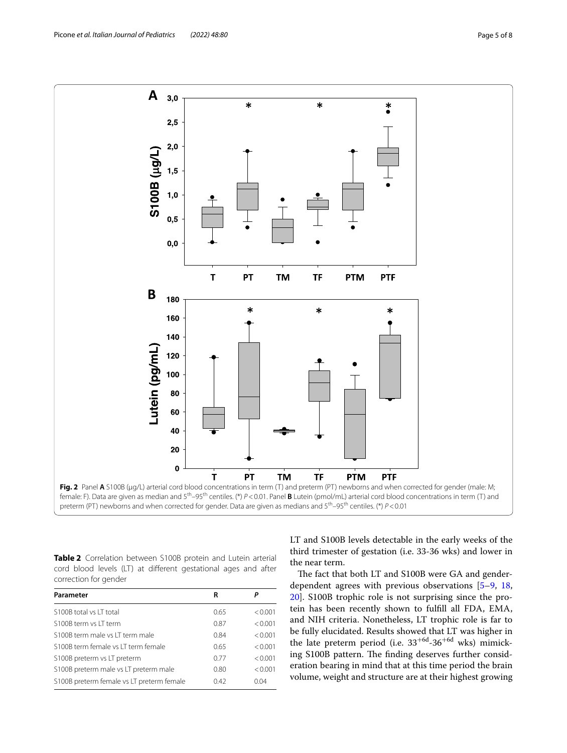

<span id="page-4-1"></span><span id="page-4-0"></span>**Table 2** Correlation between S100B protein and Lutein arterial cord blood levels (LT) at diferent gestational ages and after correction for gender

| Parameter                                 | R    |                 |
|-------------------------------------------|------|-----------------|
| S100B total vs IT total                   | 0.65 | < 0.001         |
| S100B term vs LT term                     | 0.87 | < 0.001         |
| S100B term male vs LT term male           | 0.84 | < 0.001         |
| S100B term female vs IT term female       | 0.65 | < 0.001         |
| S100B preterm vs LT preterm               | 0.77 | < 0.001         |
| S100B preterm male vs LT preterm male     | 0.80 | < 0.001         |
| S100B preterm female vs LT preterm female | 042  | 0 <sub>04</sub> |

LT and S100B levels detectable in the early weeks of the third trimester of gestation (i.e. 33-36 wks) and lower in the near term.

The fact that both LT and S100B were GA and genderdependent agrees with previous observations [\[5](#page-6-18)[–9,](#page-6-2) [18](#page-6-7), [20\]](#page-6-9). S100B trophic role is not surprising since the protein has been recently shown to fulfll all FDA, EMA, and NIH criteria. Nonetheless, LT trophic role is far to be fully elucidated. Results showed that LT was higher in the late preterm period (i.e.  $33^{+6d}$ -36<sup>+6d</sup> wks) mimicking S100B pattern. The finding deserves further consideration bearing in mind that at this time period the brain volume, weight and structure are at their highest growing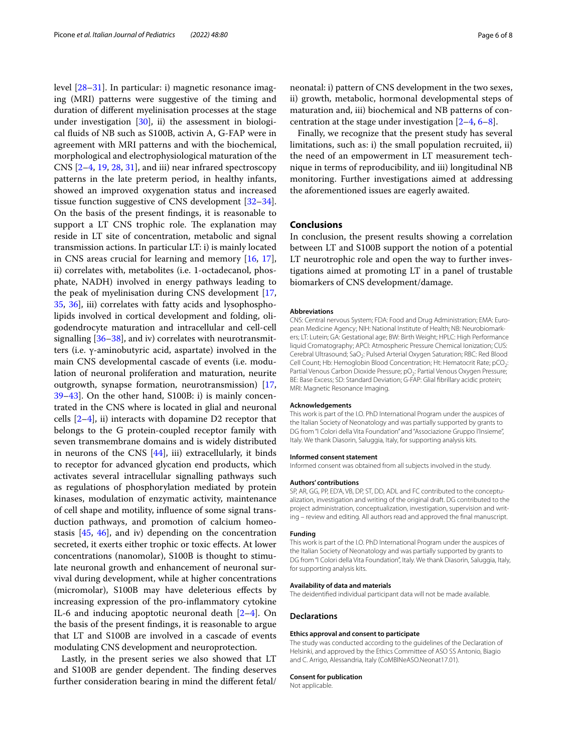level [[28](#page-6-19)[–31](#page-6-20)]. In particular: i) magnetic resonance imaging (MRI) patterns were suggestive of the timing and duration of diferent myelinisation processes at the stage under investigation  $[30]$  $[30]$  $[30]$ , ii) the assessment in biological fuids of NB such as S100B, activin A, G-FAP were in agreement with MRI patterns and with the biochemical, morphological and electrophysiological maturation of the CNS [[2–](#page-6-1)[4,](#page-6-15) [19](#page-6-8), [28,](#page-6-19) [31\]](#page-6-20), and iii) near infrared spectroscopy patterns in the late preterm period, in healthy infants, showed an improved oxygenation status and increased tissue function suggestive of CNS development [[32](#page-6-22)[–34](#page-6-23)]. On the basis of the present fndings, it is reasonable to support a LT CNS trophic role. The explanation may reside in LT site of concentration, metabolic and signal transmission actions. In particular LT: i) is mainly located in CNS areas crucial for learning and memory [[16,](#page-6-24) [17](#page-6-25)], ii) correlates with, metabolites (i.e. 1-octadecanol, phosphate, NADH) involved in energy pathways leading to the peak of myelinisation during CNS development [\[17](#page-6-25), [35,](#page-7-0) [36](#page-7-1)], iii) correlates with fatty acids and lysophospholipids involved in cortical development and folding, oligodendrocyte maturation and intracellular and cell-cell signalling  $[36–38]$  $[36–38]$ , and iv) correlates with neurotransmitters (i.e. γ-aminobutyric acid, aspartate) involved in the main CNS developmental cascade of events (i.e. modulation of neuronal proliferation and maturation, neurite outgrowth, synapse formation, neurotransmission) [\[17](#page-6-25), [39–](#page-7-3)[43](#page-7-4)]. On the other hand, S100B: i) is mainly concentrated in the CNS where is located in glial and neuronal cells  $[2-4]$  $[2-4]$ , ii) interacts with dopamine D2 receptor that belongs to the G protein-coupled receptor family with seven transmembrane domains and is widely distributed in neurons of the CNS [\[44](#page-7-5)], iii) extracellularly, it binds to receptor for advanced glycation end products, which activates several intracellular signalling pathways such as regulations of phosphorylation mediated by protein kinases, modulation of enzymatic activity, maintenance of cell shape and motility, infuence of some signal transduction pathways, and promotion of calcium homeostasis [[45,](#page-7-6) [46\]](#page-7-7), and iv) depending on the concentration secreted, it exerts either trophic or toxic efects. At lower concentrations (nanomolar), S100B is thought to stimulate neuronal growth and enhancement of neuronal survival during development, while at higher concentrations (micromolar), S100B may have deleterious efects by increasing expression of the pro-infammatory cytokine IL-6 and inducing apoptotic neuronal death [\[2–](#page-6-1)[4\]](#page-6-15). On the basis of the present fndings, it is reasonable to argue that LT and S100B are involved in a cascade of events modulating CNS development and neuroprotection.

Lastly, in the present series we also showed that LT and S100B are gender dependent. The finding deserves further consideration bearing in mind the diferent fetal/

neonatal: i) pattern of CNS development in the two sexes, ii) growth, metabolic, hormonal developmental steps of maturation and, iii) biochemical and NB patterns of concentration at the stage under investigation  $[2-4, 6-8]$  $[2-4, 6-8]$  $[2-4, 6-8]$  $[2-4, 6-8]$  $[2-4, 6-8]$ .

Finally, we recognize that the present study has several limitations, such as: i) the small population recruited, ii) the need of an empowerment in LT measurement technique in terms of reproducibility, and iii) longitudinal NB monitoring. Further investigations aimed at addressing the aforementioned issues are eagerly awaited.

#### **Conclusions**

In conclusion, the present results showing a correlation between LT and S100B support the notion of a potential LT neurotrophic role and open the way to further investigations aimed at promoting LT in a panel of trustable biomarkers of CNS development/damage.

#### **Abbreviations**

CNS: Central nervous System; FDA: Food and Drug Administration; EMA: European Medicine Agency; NIH: National Institute of Health; NB: Neurobiomarkers; LT: Lutein; GA: Gestational age; BW: Birth Weight; HPLC: High Performance liquid Cromatography; APCI: Atmospheric Pressure Chemical Ionization; CUS: Cerebral Ultrasound; SaO<sub>2</sub>: Pulsed Arterial Oxygen Saturation; RBC: Red Blood Cell Count; Hb: Hemoglobin Blood Concentration; Ht: Hematocrit Rate; pCO<sub>2</sub>: Partial Venous Carbon Dioxide Pressure; pO<sub>2</sub>: Partial Venous Oxygen Pressure; BE: Base Excess; SD: Standard Deviation; G-FAP: Glial fbrillary acidic protein; MRI: Magnetic Resonance Imaging.

#### **Acknowledgements**

This work is part of the I.O. PhD International Program under the auspices of the Italian Society of Neonatology and was partially supported by grants to DG from "I Colori della Vita Foundation" and "Associazione Gruppo l'Insieme", Italy. We thank Diasorin, Saluggia, Italy, for supporting analysis kits.

#### **Informed consent statement**

Informed consent was obtained from all subjects involved in the study.

#### **Authors' contributions**

SP, AR, GG, PP, ED'A, VB, DP, ST, DD, ADL and FC contributed to the conceptualization, investigation and writing of the original draft. DG contributed to the project administration, conceptualization, investigation, supervision and writing – review and editing. All authors read and approved the fnal manuscript.

#### **Funding**

This work is part of the I.O. PhD International Program under the auspices of the Italian Society of Neonatology and was partially supported by grants to DG from "I Colori della Vita Foundation", Italy. We thank Diasorin, Saluggia, Italy, for supporting analysis kits.

#### **Availability of data and materials**

The deidentifed individual participant data will not be made available.

#### **Declarations**

#### **Ethics approval and consent to participate**

The study was conducted according to the guidelines of the Declaration of Helsinki, and approved by the Ethics Committee of ASO SS Antonio, Biagio and C. Arrigo, Alessandria, Italy (CoMBINeASO.Neonat17.01).

#### **Consent for publication**

Not applicable.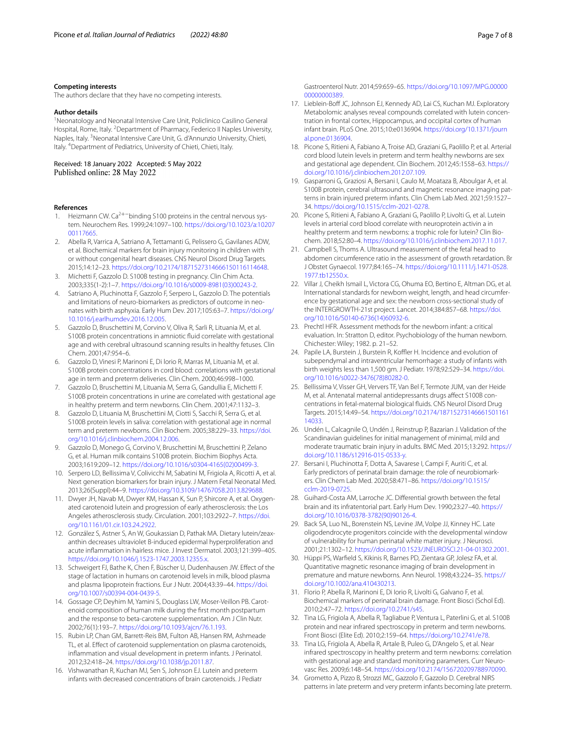#### **Competing interests**

The authors declare that they have no competing interests.

#### **Author details**

<sup>1</sup> Neonatology and Neonatal Intensive Care Unit, Policlinico Casilino General Hospital, Rome, Italy. <sup>2</sup> Department of Pharmacy, Federico II Naples University, Naples, Italy. <sup>3</sup> Neonatal Intensive Care Unit, G. d'Annunzio University, Chieti, Italy. 4 Department of Pediatrics, University of Chieti, Chieti, Italy.

Received: 18 January 2022 Accepted: 5 May 2022 Published online: 28 May 2022

#### **References**

- <span id="page-6-0"></span>1. Heizmann CW. Ca<sup>2+−</sup>binding S100 proteins in the central nervous system. Neurochem Res. 1999;24:1097–100. [https://doi.org/10.1023/a:10207](https://doi.org/10.1023/a:1020700117665) [00117665.](https://doi.org/10.1023/a:1020700117665)
- <span id="page-6-1"></span>2. Abella R, Varrica A, Satriano A, Tettamanti G, Pelissero G, Gavilanes ADW, et al. Biochemical markers for brain injury monitoring in children with or without congenital heart diseases. CNS Neurol Disord Drug Targets. 2015;14:12–23. [https://doi.org/10.2174/1871527314666150116114648.](https://doi.org/10.2174/1871527314666150116114648)
- 3. Michetti F, Gazzolo D. S100B testing in pregnancy. Clin Chim Acta. 2003;335(1-2):1–7. [https://doi.org/10.1016/s0009-8981\(03\)00243-2](https://doi.org/10.1016/s0009-8981(03)00243-2).
- <span id="page-6-15"></span>4. Satriano A, Pluchinotta F, Gazzolo F, Serpero L, Gazzolo D. The potentials and limitations of neuro-biomarkers as predictors of outcome in neonates with birth asphyxia. Early Hum Dev. 2017;105:63–7. [https://doi.org/](https://doi.org/10.1016/j.earlhumdev.2016.12.005) [10.1016/j.earlhumdev.2016.12.005](https://doi.org/10.1016/j.earlhumdev.2016.12.005).
- <span id="page-6-18"></span>5. Gazzolo D, Bruschettini M, Corvino V, Oliva R, Sarli R, Lituania M, et al. S100B protein concentrations in amniotic fuid correlate with gestational age and with cerebral ultrasound scanning results in healthy fetuses. Clin Chem. 2001;47:954–6.
- <span id="page-6-26"></span>6. Gazzolo D, Vinesi P, Marinoni E, Di lorio R, Marras M, Lituania M, et al. S100B protein concentrations in cord blood: correlations with gestational age in term and preterm deliveries. Clin Chem. 2000;46:998–1000.
- 7. Gazzolo D, Bruschettini M, Lituania M, Serra G, Gandullia E, Michetti F. S100B protein concentrations in urine are correlated with gestational age in healthy preterm and term newborns. Clin Chem. 2001;47:1132–3.
- <span id="page-6-27"></span>8. Gazzolo D, Lituania M, Bruschettini M, Ciotti S, Sacchi R, Serra G, et al. S100B protein levels in saliva: correlation with gestational age in normal term and preterm newborns. Clin Biochem. 2005;38:229–33. [https://doi.](https://doi.org/10.1016/j.clinbiochem.2004.12.006) [org/10.1016/j.clinbiochem.2004.12.006](https://doi.org/10.1016/j.clinbiochem.2004.12.006).
- <span id="page-6-2"></span>9. Gazzolo D, Monego G, Corvino V, Bruschettini M, Bruschettini P, Zelano G, et al. Human milk contains S100B protein. Biochim Biophys Acta. 2003;1619:209–12. [https://doi.org/10.1016/s0304-4165\(02\)00499-3](https://doi.org/10.1016/s0304-4165(02)00499-3).
- <span id="page-6-3"></span>10. Serpero LD, Bellissima V, Colivicchi M, Sabatini M, Frigiola A, Ricotti A, et al. Next generation biomarkers for brain injury. J Matern Fetal Neonatal Med. 2013;26(Suppl):44–9. [https://doi.org/10.3109/14767058.2013.829688.](https://doi.org/10.3109/14767058.2013.829688)
- <span id="page-6-4"></span>11. Dwyer JH, Navab M, Dwyer KM, Hassan K, Sun P, Shircore A, et al. Oxygenated carotenoid lutein and progression of early atherosclerosis: the Los Angeles atherosclerosis study. Circulation. 2001;103:2922–7. [https://doi.](https://doi.org/10.1161/01.cir.103.24.2922) [org/10.1161/01.cir.103.24.2922.](https://doi.org/10.1161/01.cir.103.24.2922)
- 12. González S, Astner S, An W, Goukassian D, Pathak MA. Dietary lutein/zeaxanthin decreases ultraviolet B-induced epidermal hyperproliferation and acute infammation in hairless mice. J Invest Dermatol. 2003;121:399–405. [https://doi.org/10.1046/j.1523-1747.2003.12355.x.](https://doi.org/10.1046/j.1523-1747.2003.12355.x)
- 13. Schweigert FJ, Bathe K, Chen F, Büscher U, Dudenhausen JW. Efect of the stage of lactation in humans on carotenoid levels in milk, blood plasma and plasma lipoprotein fractions. Eur J Nutr. 2004;43:39–44. [https://doi.](https://doi.org/10.1007/s00394-004-0439-5) [org/10.1007/s00394-004-0439-5.](https://doi.org/10.1007/s00394-004-0439-5)
- <span id="page-6-5"></span>14. Gossage CP, Deyhim M, Yamini S, Douglass LW, Moser-Veillon PB. Carotenoid composition of human milk during the frst month postpartum and the response to beta-carotene supplementation. Am J Clin Nutr. 2002;76(1):193–7. [https://doi.org/10.1093/ajcn/76.1.193.](https://doi.org/10.1093/ajcn/76.1.193)
- <span id="page-6-6"></span>15. Rubin LP, Chan GM, Barrett-Reis BM, Fulton AB, Hansen RM, Ashmeade TL, et al. Efect of carotenoid supplementation on plasma carotenoids, infammation and visual development in preterm infants. J Perinatol. 2012;32:418–24.<https://doi.org/10.1038/jp.2011.87>.
- <span id="page-6-24"></span>16. Vishwanathan R, Kuchan MJ, Sen S, Johnson EJ. Lutein and preterm infants with decreased concentrations of brain carotenoids. J Pediatr

Gastroenterol Nutr. 2014;59:659–65. [https://doi.org/10.1097/MPG.00000](https://doi.org/10.1097/MPG.0000000000000389) 0000000389

- <span id="page-6-25"></span>17. Lieblein-Boff JC, Johnson EJ, Kennedy AD, Lai CS, Kuchan MJ. Exploratory Metabolomic analyses reveal compounds correlated with lutein concentration in frontal cortex, Hippocampus, and occipital cortex of human infant brain. PLoS One. 2015;10:e0136904. [https://doi.org/10.1371/journ](https://doi.org/10.1371/journal.pone.0136904) [al.pone.0136904.](https://doi.org/10.1371/journal.pone.0136904)
- <span id="page-6-7"></span>18. Picone S, Ritieni A, Fabiano A, Troise AD, Graziani G, Paolillo P, et al. Arterial cord blood lutein levels in preterm and term healthy newborns are sex and gestational age dependent. Clin Biochem. 2012;45:1558–63. [https://](https://doi.org/10.1016/j.clinbiochem.2012.07.109) [doi.org/10.1016/j.clinbiochem.2012.07.109](https://doi.org/10.1016/j.clinbiochem.2012.07.109).
- <span id="page-6-8"></span>19. Gasparroni G, Graziosi A, Bersani I, Caulo M, Moataza B, Aboulgar A, et al. S100B protein, cerebral ultrasound and magnetic resonance imaging patterns in brain injured preterm infants. Clin Chem Lab Med. 2021;59:1527– 34. <https://doi.org/10.1515/cclm-2021-0278>.
- <span id="page-6-9"></span>20. Picone S, Ritieni A, Fabiano A, Graziani G, Paolillo P, Livolti G, et al. Lutein levels in arterial cord blood correlate with neuroprotein activin a in healthy preterm and term newborns: a trophic role for lutein? Clin Biochem. 2018;52:80–4. [https://doi.org/10.1016/j.clinbiochem.2017.11.017.](https://doi.org/10.1016/j.clinbiochem.2017.11.017)
- <span id="page-6-10"></span>21. Campbell S, Thoms A. Ultrasound measurement of the fetal head to abdomen circumference ratio in the assessment of growth retardation. Br J Obstet Gynaecol. 1977;84:165–74. [https://doi.org/10.1111/j.1471-0528.](https://doi.org/10.1111/j.1471-0528.1977.tb12550.x) [1977.tb12550.x.](https://doi.org/10.1111/j.1471-0528.1977.tb12550.x)
- <span id="page-6-11"></span>22. Villar J, Cheikh Ismail L, Victora CG, Ohuma EO, Bertino E, Altman DG, et al. International standards for newborn weight, length, and head circumference by gestational age and sex: the newborn cross-sectional study of the INTERGROWTH-21st project. Lancet. 2014;384:857–68. [https://doi.](https://doi.org/10.1016/S0140-6736(14)60932-6) [org/10.1016/S0140-6736\(14\)60932-6.](https://doi.org/10.1016/S0140-6736(14)60932-6)
- <span id="page-6-12"></span>23. Prechtl HFR. Assessment methods for the newborn infant: a critical evaluation. In: Stratton D, editor. Psychobiology of the human newborn. Chichester: Wiley; 1982. p. 21–52.
- <span id="page-6-13"></span>24. Papile LA, Burstein J, Burstein R, Koffler H. Incidence and evolution of subependymal and intraventricular hemorrhage: a study of infants with birth weights less than 1,500 gm. J Pediatr. 1978;92:529–34. [https://doi.](https://doi.org/10.1016/s0022-3476(78)80282-0) [org/10.1016/s0022-3476\(78\)80282-0](https://doi.org/10.1016/s0022-3476(78)80282-0).
- <span id="page-6-14"></span>25. Bellissima V, Visser GH, Ververs TF, Van Bel F, Termote JUM, van der Heide M, et al. Antenatal maternal antidepressants drugs afect S100B concentrations in fetal-maternal biological fuids. CNS Neurol Disord Drug Targets. 2015;14:49–54. [https://doi.org/10.2174/18715273146661501161](https://doi.org/10.2174/1871527314666150116114033) [14033](https://doi.org/10.2174/1871527314666150116114033).
- <span id="page-6-16"></span>26. Undén L, Calcagnile O, Undén J, Reinstrup P, Bazarian J. Validation of the Scandinavian guidelines for initial management of minimal, mild and moderate traumatic brain injury in adults. BMC Med. 2015;13:292. [https://](https://doi.org/10.1186/s12916-015-0533-y) [doi.org/10.1186/s12916-015-0533-y.](https://doi.org/10.1186/s12916-015-0533-y)
- <span id="page-6-17"></span>27. Bersani I, Pluchinotta F, Dotta A, Savarese I, Campi F, Auriti C, et al. Early predictors of perinatal brain damage: the role of neurobiomarkers. Clin Chem Lab Med. 2020;58:471–86. [https://doi.org/10.1515/](https://doi.org/10.1515/cclm-2019-0725) [cclm-2019-0725.](https://doi.org/10.1515/cclm-2019-0725)
- <span id="page-6-19"></span>28. Guihard-Costa AM, Larroche JC. Diferential growth between the fetal brain and its infratentorial part. Early Hum Dev. 1990;23:27–40. [https://](https://doi.org/10.1016/0378-3782(90)90126-4) [doi.org/10.1016/0378-3782\(90\)90126-4](https://doi.org/10.1016/0378-3782(90)90126-4).
- 29. Back SA, Luo NL, Borenstein NS, Levine JM, Volpe JJ, Kinney HC. Late oligodendrocyte progenitors coincide with the developmental window of vulnerability for human perinatal white matter injury. J Neurosci. 2001;21:1302–12. <https://doi.org/10.1523/JNEUROSCI.21-04-01302.2001>.
- <span id="page-6-21"></span>30. Hüppi PS, Warfeld S, Kikinis R, Barnes PD, Zientara GP, Jolesz FA, et al. Quantitative magnetic resonance imaging of brain development in premature and mature newborns. Ann Neurol. 1998;43:224–35. [https://](https://doi.org/10.1002/ana.410430213) [doi.org/10.1002/ana.410430213](https://doi.org/10.1002/ana.410430213).
- <span id="page-6-20"></span>31. Florio P, Abella R, Marinoni E, Di Iorio R, Livolti G, Galvano F, et al. Biochemical markers of perinatal brain damage. Front Biosci (Schol Ed). 2010;2:47–72. [https://doi.org/10.2741/s45.](https://doi.org/10.2741/s45)
- <span id="page-6-22"></span>32. Tina LG, Frigiola A, Abella R, Tagliabue P, Ventura L, Paterlini G, et al. S100B protein and near infrared spectroscopy in preterm and term newborns. Front Biosci (Elite Ed). 2010;2:159–64.<https://doi.org/10.2741/e78>.
- 33. Tina LG, Frigiola A, Abella R, Artale B, Puleo G, D'Angelo S, et al. Near infrared spectroscopy in healthy preterm and term newborns: correlation with gestational age and standard monitoring parameters. Curr Neurovasc Res. 2009;6:148–54.<https://doi.org/10.2174/156720209788970090>.
- <span id="page-6-23"></span>34. Grometto A, Pizzo B, Strozzi MC, Gazzolo F, Gazzolo D. Cerebral NIRS patterns in late preterm and very preterm infants becoming late preterm.